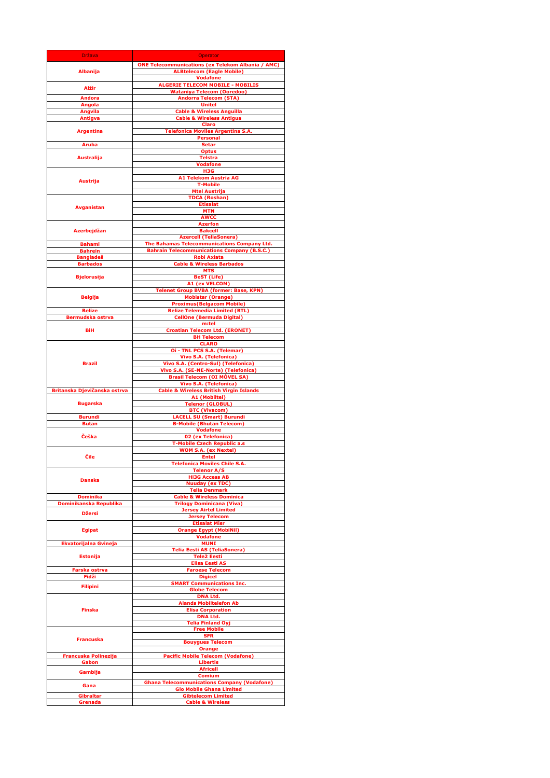| <b>Država</b>                            | Operator                                                                                                        |
|------------------------------------------|-----------------------------------------------------------------------------------------------------------------|
| <b>Albanija</b>                          | <b>ONE Telecommunications (ex Telekom Albania / AMC)</b><br><b>ALBtelecom (Eagle Mobile)</b><br><b>Vodafone</b> |
| <b>Alžir</b>                             | <b>ALGERIE TELECOM MOBILE - MOBILIS</b>                                                                         |
| <b>Andora</b>                            | <b>Wataniya Telecom (Ooredoo)</b><br><b>Andorra Telecom (STA)</b>                                               |
| <b>Angola</b>                            | <b>Unitel</b>                                                                                                   |
| <b>Angvila</b><br><b>Antigva</b>         | <b>Cable &amp; Wireless Anguilla</b><br><b>Cable &amp; Wireless Antigua</b>                                     |
|                                          | <b>Claro</b><br><b>Telefonica Moviles Argentina S.A.</b>                                                        |
| <b>Argentina</b>                         | <b>Personal</b>                                                                                                 |
| <b>Aruba</b>                             | <b>Setar</b><br><b>Optus</b>                                                                                    |
| <b>Australija</b>                        | <b>Telstra</b>                                                                                                  |
|                                          | <b>Vodafone</b><br>H <sub>3</sub> G                                                                             |
| <b>Austrija</b>                          | <b>A1 Telekom Austria AG</b>                                                                                    |
|                                          | <b>T-Mobile</b><br><b>Mtel Austrija</b>                                                                         |
|                                          | <b>TDCA (Roshan)</b>                                                                                            |
| <b>Avganistan</b>                        | <b>Etisalat</b><br><b>MTN</b>                                                                                   |
|                                          | <b>AWCC</b><br><b>Azerfon</b>                                                                                   |
| Azerbejdžan                              | <b>Bakcell</b>                                                                                                  |
| <b>Bahami</b>                            | <b>Azercell (TeliaSonera)</b><br>The Bahamas Telecommunications Company Ltd.                                    |
| <b>Bahrein</b>                           | <b>Bahrain Telecommunications Company (B.S.C.)</b>                                                              |
| <b>Bangladeš</b><br><b>Barbados</b>      | Robi Axiata<br><b>Cable &amp; Wireless Barbados</b>                                                             |
|                                          | <b>MTS</b>                                                                                                      |
| <b>Bjelorusija</b>                       | <b>BeST (Life)</b><br>A1 (ex VELCOM)                                                                            |
|                                          | <b>Telenet Group BVBA (former: Base, KPN)</b>                                                                   |
| <b>Belgija</b>                           | <b>Mobistar (Orange)</b><br><b>Proximus (Belgacom Mobile)</b>                                                   |
| <b>Belize</b>                            | <b>Belize Telemedia Limited (BTL)</b>                                                                           |
| <b>Bermudska ostrva</b>                  | <b>CellOne (Bermuda Digital)</b><br>m:tel                                                                       |
| <b>BiH</b>                               | <b>Croatian Telecom Ltd. (ERONET)</b>                                                                           |
|                                          | <b>BH Telecom</b><br><b>CLARO</b>                                                                               |
|                                          | <b>Oi - TNL PCS S.A. (Telemar)</b>                                                                              |
| <b>Brazil</b>                            | <b>Vivo S.A. (Telefonica)</b><br>Vivo S.A. (Centro-Sul) (Telefonica)                                            |
|                                          | Vivo S.A. (SE-NE-Norte) (Telefonica)<br><b>Brasil Telecom (OI MÓVEL SA)</b>                                     |
|                                          | <b>Vivo S.A. (Telefonica)</b>                                                                                   |
| <b>Britanska Djevičanska ostrva</b>      | <b>Cable &amp; Wireless British Virgin Islands</b><br>A1 (Mobiltel)                                             |
| <b>Bugarska</b>                          | <b>Telenor (GLOBUL)</b>                                                                                         |
| <b>Burundi</b>                           | <b>BTC (Vivacom)</b><br><b>LACELL SU (Smart) Burundi</b>                                                        |
| <b>Butan</b>                             | <b>B-Mobile (Bhutan Telecom)</b>                                                                                |
| Češka                                    | <b>Vodafone</b><br>02 (ex Telefonica)                                                                           |
|                                          | <b>T-Mobile Czech Republic a.s</b><br><b>WOM S.A. (ex Nextel)</b>                                               |
| Čile                                     | <b>Entel</b>                                                                                                    |
|                                          | <b>Telefonica Moviles Chile S.A.</b><br><b>Telenor A/S</b>                                                      |
| <b>Danska</b>                            | <b>Hi3G Access AB</b>                                                                                           |
|                                          | <b>Nuuday (ex TDC)</b><br><b>Telia Denmark</b>                                                                  |
| <b>Dominika</b>                          | <b>Cable &amp; Wireless Dominica</b>                                                                            |
| Dominikanska Republika                   | <b>Trilogy Dominicana (Viva)</b><br><b>Jersey Airtel Limited</b>                                                |
| <b>Džersi</b>                            | <b>Jersey Telecom</b>                                                                                           |
| <b>Egipat</b>                            | <b>Etisalat Misr</b><br><b>Orange Egypt (MobiNil)</b>                                                           |
|                                          | <b>Vodafone</b><br><b>MUNI</b>                                                                                  |
| <b>Ekvatorijalna Gvineja</b>             | <b>Telia Eesti AS (TeliaSonera)</b>                                                                             |
| <b>Estonija</b>                          | <b>Tele2 Eesti</b><br><b>Elisa Eesti AS</b>                                                                     |
| Farska ostrva                            | <b>Faroese Telecom</b>                                                                                          |
| <b>Fidži</b>                             | <b>Digicel</b><br><b>SMART Communications Inc.</b>                                                              |
| <b>Filipini</b>                          | <b>Globe Telecom</b>                                                                                            |
|                                          | <b>DNA Ltd.</b><br><b>Alands Mobiltelefon Ab</b>                                                                |
| <b>Finska</b>                            | <b>Elisa Corporation</b>                                                                                        |
|                                          | <b>DNA Ltd.</b><br><b>Telia Finland Oyj</b>                                                                     |
| <b>Francuska</b><br>Francuska Polinezija | <b>Free Mobile</b><br><b>SFR</b>                                                                                |
|                                          | <b>Bouygues Telecom</b>                                                                                         |
|                                          | <b>Orange</b><br><b>Pacific Mobile Telecom (Vodafone)</b>                                                       |
| Gabon                                    | <b>Libertis</b>                                                                                                 |
| Gambija                                  | <b>Africell</b><br><b>Comium</b>                                                                                |
| Gana                                     | <b>Ghana Telecommunications Company (Vodafone)</b>                                                              |
| <b>Gibraltar</b>                         | <b>Glo Mobile Ghana Limited</b><br><b>Gibtelecom Limited</b>                                                    |
| Grenada                                  | <b>Cable &amp; Wireless</b>                                                                                     |
|                                          |                                                                                                                 |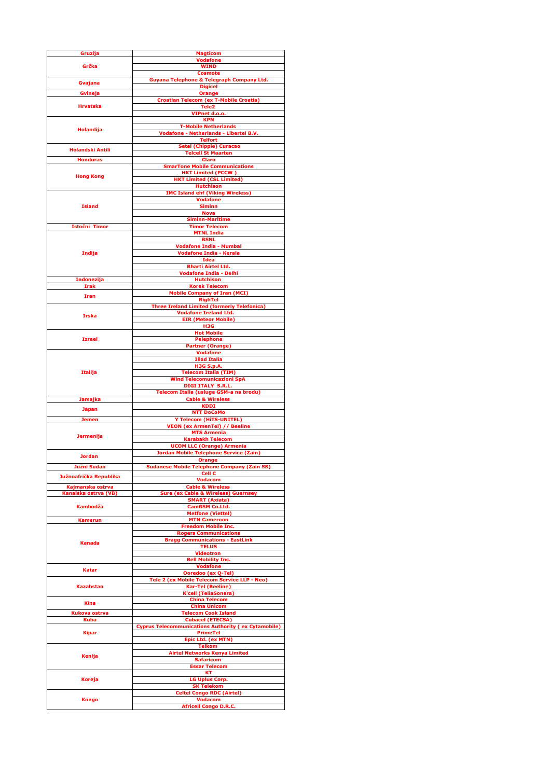| <b>Gruzija</b>                   | <b>Magticom</b>                                                                    |
|----------------------------------|------------------------------------------------------------------------------------|
| Grčka                            | <b>Vodafone</b><br><b>WIND</b>                                                     |
|                                  | <b>Cosmote</b>                                                                     |
| Gvajana                          | <b>Guyana Telephone &amp; Telegraph Company Ltd.</b>                               |
| <b>Gvineja</b>                   | <b>Digicel</b><br><b>Orange</b>                                                    |
|                                  | <b>Croatian Telecom (ex T-Mobile Croatia)</b>                                      |
| <b>Hrvatska</b>                  | <b>Tele2</b>                                                                       |
|                                  | VIPnet d.o.o.<br><b>KPN</b>                                                        |
|                                  | <b>T-Mobile Netherlands</b>                                                        |
| Holandija                        | Vodafone - Netherlands - Libertel B.V.                                             |
|                                  | <b>Telfort</b>                                                                     |
| <b>Holandski Antili</b>          | <b>Setel (Chippie) Curacao</b><br><b>Telcell St Maarten</b>                        |
| <b>Honduras</b>                  | <b>Claro</b>                                                                       |
|                                  | <b>SmarTone Mobile Communications</b><br><b>HKT Limited (PCCW)</b>                 |
| <b>Hong Kong</b>                 | <b>HKT Limited (CSL Limited)</b>                                                   |
|                                  | <b>Hutchison</b>                                                                   |
|                                  | <b>IMC Island ehf (Viking Wireless)</b><br><b>Vodafone</b>                         |
| <b>Island</b>                    | <b>Siminn</b>                                                                      |
|                                  | <b>Nova</b>                                                                        |
|                                  | <b>Siminn-Maritime</b>                                                             |
| Istočni Timor                    | <b>Timor Telecom</b><br><b>MTNL India</b>                                          |
|                                  | <b>BSNL</b>                                                                        |
|                                  | <b>Vodafone India - Mumbai</b>                                                     |
| <b>Indija</b>                    | <b>Vodafone India - Kerala</b><br><b>Idea</b>                                      |
|                                  | <b>Bharti Airtel Ltd.</b>                                                          |
|                                  | <b>Vodafone India - Delhi</b>                                                      |
| <b>Indonezija</b><br><b>Irak</b> | <b>Hutchison</b><br><b>Korek Telecom</b>                                           |
| <b>Iran</b>                      | <b>Mobile Company of Iran (MCI)</b>                                                |
|                                  | <b>RighTel</b>                                                                     |
|                                  | <b>Three Ireland Limited (formerly Telefonica)</b><br><b>Vodafone Ireland Ltd.</b> |
| <b>Irska</b>                     | <b>EIR (Meteor Mobile)</b>                                                         |
|                                  | H <sub>3</sub> G                                                                   |
| <b>Izrael</b>                    | <b>Hot Mobile</b><br><b>Pelephone</b>                                              |
|                                  | <b>Partner (Orange)</b>                                                            |
|                                  | <b>Vodafone</b>                                                                    |
|                                  | <b>Iliad Italia</b>                                                                |
| <b>Italija</b>                   | <b>H3G S.p.A.</b><br><b>Telecom Italia (TIM)</b>                                   |
|                                  | <b>Wind Telecomunicazioni SpA</b>                                                  |
|                                  | <b>DIGI ITALY S.R.L.</b><br>Telecom Italia (usluge GSM-a na brodu)                 |
| <b>Jamajka</b>                   | <b>Cable &amp; Wireless</b>                                                        |
| <b>Japan</b>                     | <b>KDDI</b>                                                                        |
|                                  | <b>NTT DoCoMo</b>                                                                  |
| <b>Jemen</b>                     | <b>Y Telecom (HITS-UNITEL)</b><br><b>VEON (ex ArmenTel) // Beeline</b>             |
| <b>Jermenija</b>                 | <b>MTS Armenia</b>                                                                 |
|                                  | <b>Karabakh Telecom</b>                                                            |
|                                  | <b>UCOM LLC (Orange) Armenia</b><br><b>Jordan Mobile Telephone Service (Zain)</b>  |
| <b>Jordan</b>                    | <b>Orange</b>                                                                      |
| <b>Južni Sudan</b>               | <b>Sudanese Mobile Telephone Company (Zain SS)</b>                                 |
| Južnoafrička Republika           | <b>Cell C</b><br><b>Vodacom</b>                                                    |
| Kajmanska ostrva                 | <b>Cable &amp; Wireless</b>                                                        |
| Kanalska ostrva (VB)             | <b>Sure (ex Cable &amp; Wireless) Guernsey</b>                                     |
| <b>Kambodža</b>                  | <b>SMART (Axiata)</b><br><b>CamGSM Co.Ltd.</b>                                     |
|                                  | <b>Metfone (Viettel)</b>                                                           |
| <b>Kamerun</b>                   | <b>MTN Cameroon</b>                                                                |
|                                  | <b>Freedom Mobile Inc.</b><br><b>Rogers Communications</b>                         |
| <b>Kanada</b>                    | <b>Bragg Communications - EastLink</b>                                             |
|                                  | <b>TELUS</b>                                                                       |
|                                  | <b>Videotron</b><br><b>Bell Mobility Inc.</b>                                      |
|                                  | <b>Vodafone</b>                                                                    |
| <b>Katar</b>                     | <b>Ooredoo (ex Q-Tel)</b>                                                          |
| <b>Kazahstan</b>                 | Tele 2 (ex Mobile Telecom Service LLP - Neo)<br><b>Kar-Tel (Beeline)</b>           |
|                                  | <b>K'cell (TeliaSonera)</b>                                                        |
| <b>Kina</b>                      | <b>China Telecom</b>                                                               |
| <b>Kukova ostrva</b>             | <b>China Unicom</b><br><b>Telecom Cook Island</b>                                  |
| <b>Kuba</b>                      | <b>Cubacel (ETECSA)</b>                                                            |
|                                  | <b>Cyprus Telecommunications Authority (ex Cytamobile)</b>                         |
| <b>Kipar</b>                     | <b>PrimeTel</b><br><b>Epic Ltd. (ex MTN)</b>                                       |
|                                  | <b>Telkom</b>                                                                      |
| <b>Kenija</b>                    | <b>Airtel Networks Kenya Limited</b>                                               |
|                                  | <b>Safaricom</b><br><b>Essar Telecom</b>                                           |
|                                  | <b>KT</b>                                                                          |
| <b>Koreja</b>                    | <b>LG Uplus Corp.</b>                                                              |
|                                  | <b>SK Telekom</b><br><b>Celtel Congo RDC (Airtel)</b>                              |
| <b>Kongo</b>                     | <b>Vodacom</b>                                                                     |
|                                  | <b>Africell Congo D.R.C.</b>                                                       |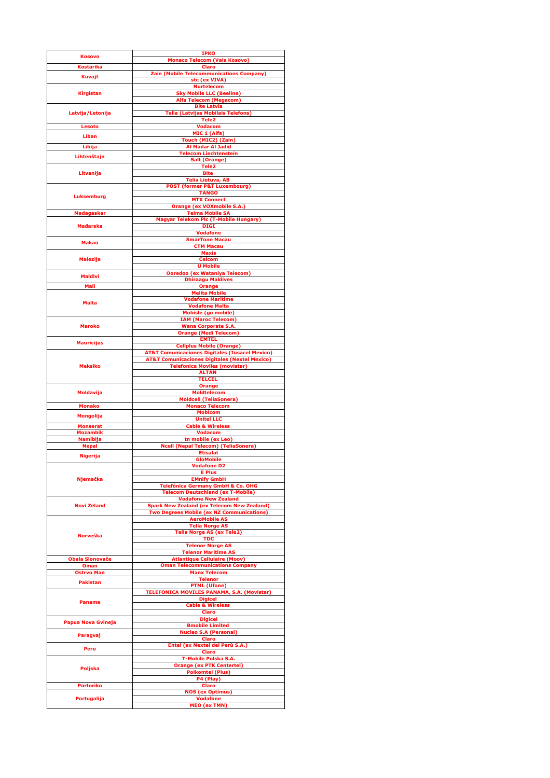|                           | <b>IPKO</b>                                                                              |
|---------------------------|------------------------------------------------------------------------------------------|
| <b>Kosovo</b>             | <b>Monaco Telecom (Vala Kosovo)</b>                                                      |
| <b>Kostarika</b>          | <b>Claro</b>                                                                             |
| <b>Kuvajt</b>             | <b>Zain (Mobile Telecommunications Company)</b>                                          |
|                           | stc (ex VIVA)                                                                            |
| <b>Kirgistan</b>          | <b>Nurtelecom</b><br><b>Sky Mobile LLC (Beeline)</b>                                     |
|                           | <b>Alfa Telecom (Megacom)</b>                                                            |
|                           | <b>Bite Latvia</b>                                                                       |
| Latvija/Letonija          | <b>Telia (Latvijas Mobilais Telefons)</b>                                                |
| <b>Lesoto</b>             | <b>Tele2</b><br><b>Vodacom</b>                                                           |
|                           | MIC 1 (Alfa)                                                                             |
| <b>Liban</b>              | Touch (MIC2) (Zain)                                                                      |
| Libija                    | <b>Al Madar Al Jadid</b>                                                                 |
| Lihtenštajn               | <b>Telecom Liechtenstein</b>                                                             |
|                           | <b>Salt (Orange)</b><br>Tele <sub>2</sub>                                                |
| Litvanija                 | <b>Bite</b>                                                                              |
|                           | <b>Telia Lietuva, AB</b>                                                                 |
|                           | <b>POST (former P&amp;T Luxembourg)</b>                                                  |
| <b>Luksemburg</b>         | <b>TANGO</b><br><b>MTX Connect</b>                                                       |
|                           | <b>Orange (ex VOXmobile S.A.)</b>                                                        |
| <b>Madagaskar</b>         | <b>Telma Mobile SA</b>                                                                   |
|                           | <b>Magyar Telekom Plc (T-Mobile Hungary)</b>                                             |
| <b>Mađarska</b>           | <b>DIGI</b><br><b>Vodafone</b>                                                           |
|                           | <b>SmarTone Macau</b>                                                                    |
| <b>Makao</b>              | <b>CTM Macau</b>                                                                         |
|                           | <b>Maxis</b>                                                                             |
| <b>Malezija</b>           | <b>Celcom</b>                                                                            |
|                           | <b>U Mobile</b><br><b>Ooredoo (ex Wataniya Telecom)</b>                                  |
| <b>Maldivi</b>            | <b>Dhiraagu Maldives</b>                                                                 |
| <b>Mali</b>               | <b>Orange</b>                                                                            |
|                           | <b>Melita Mobile</b>                                                                     |
| <b>Malta</b>              | <b>Vodafone Maritime</b><br><b>Vodafone Malta</b>                                        |
|                           | <b>Mobisle (go mobile)</b>                                                               |
|                           | <b>IAM (Maroc Telecom)</b>                                                               |
| <b>Maroko</b>             | <b>Wana Corporate S.A.</b>                                                               |
|                           | <b>Orange (Medi Telecom)</b>                                                             |
| <b>Mauricijus</b>         | <b>EMTEL</b><br><b>Cellplus Mobile (Orange)</b>                                          |
|                           | <b>AT&amp;T Comunicaciones Digitales (Iusacel Mexico)</b>                                |
|                           | <b>AT&amp;T Comunicaciones Digitales (Nextel Mexico)</b>                                 |
| <b>Meksiko</b>            | <b>Telefonica Moviles (movistar)</b>                                                     |
|                           | <b>ALTAN</b><br><b>TELCEL</b>                                                            |
|                           | <b>Orange</b>                                                                            |
| <b>Moldavija</b>          | <b>Moldtelecom</b>                                                                       |
|                           | <b>Moldcell (TeliaSonera)</b>                                                            |
| <b>Monako</b>             | <b>Monaco Telecom</b>                                                                    |
| <b>Mongolija</b>          | <b>Mobicom</b><br><b>Unitel LLC</b>                                                      |
| <b>Monserat</b>           | <b>Cable &amp; Wireless</b>                                                              |
| <b>Mozambik</b>           | <b>Vodacom</b>                                                                           |
| <b>Namibija</b>           | tn mobile (ex Leo)                                                                       |
| <b>Nepal</b>              | <b>Ncell (Nepal Telecom) (TeliaSonera)</b><br><b>Etisalat</b>                            |
| <b>Nigerija</b>           | <b>GloMobile</b>                                                                         |
|                           | <b>Vodafone D2</b>                                                                       |
|                           | <b>E</b> Plus                                                                            |
| <b>Njemačka</b>           | <b>EMnify GmbH</b>                                                                       |
|                           | <b>Telefónica Germany GmbH &amp; Co. OHG</b><br><b>Telecom Deutschland (ex T-Mobile)</b> |
|                           | <b>Vodafone New Zealand</b>                                                              |
| <b>Novi Zeland</b>        | <b>Spark New Zealand (ex Telecom New Zealand)</b>                                        |
|                           | <b>Two Degrees Mobile (ex NZ Communications)</b>                                         |
|                           | <b>AeroMobile AS</b><br><b>Telia Norge AS</b>                                            |
|                           | <b>Telia Norge AS (ex Tele2)</b>                                                         |
| <b>Norveška</b>           | <b>TDC</b>                                                                               |
|                           | <b>Telenor Norge AS</b>                                                                  |
| <b>Obala Slonovače</b>    | <b>Telenor Maritime AS</b><br><b>Atlantique Cellulaire (Moov)</b>                        |
| <b>Oman</b>               | <b>Oman Telecommunications Company</b>                                                   |
| <b>Ostrvo Man</b>         | <b>Manx Telecom</b>                                                                      |
| <b>Pakistan</b>           | <b>Telenor</b>                                                                           |
|                           | <b>PTML (Ufone)</b>                                                                      |
|                           | TELEFONICA MOVILES PANAMA, S.A. (Movistar)<br><b>Digicel</b>                             |
| <b>Panama</b>             | <b>Cable &amp; Wireless</b>                                                              |
|                           | <b>Claro</b>                                                                             |
| <b>Papua Nova Gvineja</b> | <b>Digicel</b>                                                                           |
|                           | <b>Bmobile Limited</b><br><b>Nucleo S.A (Personal)</b>                                   |
| Paragvaj                  | <b>Claro</b>                                                                             |
|                           | Entel (ex Nextel del Perú S.A.)                                                          |
| <b>Peru</b>               | <b>Claro</b>                                                                             |
| <b>Poljska</b>            | <b>T-Mobile Polska S.A.</b>                                                              |
|                           | <b>Orange (ex PTK Centertel)</b><br><b>Polkomtel (Plus)</b>                              |
|                           | P4 (Play)                                                                                |
| <b>Portoriko</b>          | <b>Claro</b>                                                                             |
|                           | <b>NOS (ex Optimus)</b>                                                                  |
| <b>Portugalija</b>        | <b>Vodafone</b><br><b>MEO (ex TMN)</b>                                                   |
|                           |                                                                                          |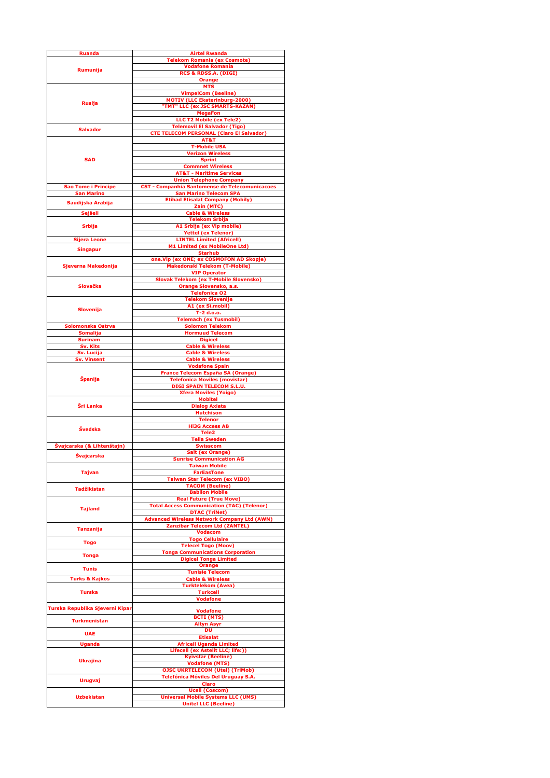| <b>Ruanda</b>                   | <b>Airtel Rwanda</b>                                                                   |
|---------------------------------|----------------------------------------------------------------------------------------|
|                                 | <b>Telekom Romania (ex Cosmote)</b>                                                    |
| <b>Rumunija</b>                 | <b>Vodafone Romania</b>                                                                |
|                                 | RCS & RDSS.A. (DIGI)                                                                   |
|                                 | <b>Orange</b><br><b>MTS</b>                                                            |
|                                 | <b>VimpelCom (Beeline)</b>                                                             |
| <b>Rusija</b>                   | <b>MOTIV (LLC Ekaterinburg-2000)</b>                                                   |
|                                 | "TMT" LLC (ex JSC SMARTS-KAZAN)                                                        |
|                                 | <b>MegaFon</b>                                                                         |
|                                 | <b>LLC T2 Mobile (ex Tele2)</b>                                                        |
| <b>Salvador</b>                 | <b>Telemovil El Salvador (Tigo)</b><br><b>CTE TELECOM PERSONAL (Claro El Salvador)</b> |
|                                 | AT&T                                                                                   |
|                                 | <b>T-Mobile USA</b>                                                                    |
|                                 | <b>Verizon Wireless</b>                                                                |
| <b>SAD</b>                      | <b>Sprint</b>                                                                          |
|                                 | <b>Commnet Wireless</b>                                                                |
|                                 | <b>AT&amp;T - Maritime Services</b><br><b>Union Telephone Company</b>                  |
| <b>Sao Tome i Principe</b>      | <b>CST - Companhia Santomense de Telecomunicacoes</b>                                  |
| <b>San Marino</b>               | <b>San Marino Telecom SPA</b>                                                          |
| Saudijska Arabija               | <b>Etihad Etisalat Company (Mobily)</b>                                                |
|                                 | Zain (MTC)                                                                             |
| Sejšeli                         | <b>Cable &amp; Wireless</b><br><b>Telekom Srbija</b>                                   |
| <b>Srbija</b>                   | A1 Srbija (ex Vip mobile)                                                              |
|                                 | <b>Yettel (ex Telenor)</b>                                                             |
| <b>Sijera Leone</b>             | <b>LINTEL Limited (Africell)</b>                                                       |
| <b>Singapur</b>                 | <b>M1 Limited (ex MobileOne Ltd)</b>                                                   |
|                                 | <b>Starhub</b>                                                                         |
|                                 | one. Vip (ex ONE; ex COSMOFON AD Skopje)<br><b>Makedonski Telekom (T-Mobile)</b>       |
| Sjeverna Makedonija             | <b>VIP Operator</b>                                                                    |
|                                 | <b>Slovak Telekom (ex T-Mobile Slovensko)</b>                                          |
| <b>Slovačka</b>                 | <b>Orange Slovensko, a.s.</b>                                                          |
|                                 | <b>Telefonica O2</b>                                                                   |
|                                 | <b>Telekom Slovenije</b>                                                               |
| Slovenija                       | A1 (ex Si.mobil)                                                                       |
|                                 | T-2 d.o.o.<br><b>Telemach (ex Tusmobil)</b>                                            |
| Solomonska Ostrva               | <b>Solomon Telekom</b>                                                                 |
| <b>Somalija</b>                 | <b>Hormuud Telecom</b>                                                                 |
| <b>Surinam</b>                  | <b>Digicel</b>                                                                         |
| <b>Sv. Kits</b>                 | <b>Cable &amp; Wireless</b>                                                            |
| Sv. Lucija                      | <b>Cable &amp; Wireless</b>                                                            |
| <b>Sv. Vinsent</b>              | <b>Cable &amp; Wireless</b><br><b>Vodafone Spain</b>                                   |
|                                 | <b>France Telecom España SA (Orange)</b>                                               |
| <b>Španija</b>                  | <b>Telefonica Moviles (movistar)</b>                                                   |
|                                 | <b>DIGI SPAIN TELECOM S.L.U.</b>                                                       |
|                                 | <b>Xfera Moviles (Yoigo)</b>                                                           |
| Šri Lanka                       | <b>Mobitel</b>                                                                         |
|                                 | <b>Dialog Axiata</b><br><b>Hutchison</b>                                               |
|                                 | <b>Telenor</b>                                                                         |
| Švedska                         | <b>Hi3G Access AB</b>                                                                  |
|                                 | <b>Tele2</b>                                                                           |
|                                 | <b>Telia Sweden</b>                                                                    |
| Švajcarska (& Lihtenštajn)      | <b>Swisscom</b>                                                                        |
| Švajcarska                      | <b>Salt (ex Orange)</b><br><b>Sunrise Communication AG</b>                             |
|                                 | <b>Taiwan Mobile</b>                                                                   |
| <b>Tajvan</b>                   | <b>FarEasTone</b>                                                                      |
|                                 | <b>Taiwan Star Telecom (ex VIBO)</b>                                                   |
| <b>Tadžikistan</b>              | <b>TACOM (Beeline)</b>                                                                 |
|                                 | <b>Babilon Mobile</b>                                                                  |
|                                 | <b>Real Future (True Move)</b><br><b>Total Access Communication (TAC) (Telenor)</b>    |
| <b>Tajland</b>                  | <b>DTAC (TriNet)</b>                                                                   |
|                                 | <b>Advanced Wireless Network Company Ltd (AWN)</b>                                     |
| <b>Tanzanija</b>                | <b>Zanzibar Telecom Ltd (ZANTEL)</b>                                                   |
|                                 | <b>Vodacom</b>                                                                         |
| <b>Togo</b>                     | <b>Togo Cellulaire</b>                                                                 |
|                                 | <b>Telecel Togo (Moov)</b><br><b>Tonga Communications Corporation</b>                  |
| <b>Tonga</b>                    | <b>Digicel Tonga Limited</b>                                                           |
| <b>Tunis</b>                    | <b>Orange</b>                                                                          |
|                                 | <b>Tunisie Telecom</b>                                                                 |
| <b>Turks &amp; Kajkos</b>       | <b>Cable &amp; Wireless</b>                                                            |
|                                 | <b>Turktelekom (Avea)</b><br><b>Turkcell</b>                                           |
| <b>Turska</b>                   | <b>Vodafone</b>                                                                        |
|                                 |                                                                                        |
| Turska Republika Sjeverni Kipar | <b>Vodafone</b>                                                                        |
| <b>Turkmenistan</b>             | <b>BCTI (MTS)</b>                                                                      |
|                                 | <b>Altyn Asyr</b><br><b>DU</b>                                                         |
| <b>UAE</b>                      | <b>Etisalat</b>                                                                        |
| <b>Uganda</b>                   | <b>Africell Uganda Limited</b>                                                         |
| <b>Ukrajina</b>                 | Lifecell (ex Astelit LLC; life:))                                                      |
|                                 | <b>Kyivstar (Beeline)</b>                                                              |
|                                 | <b>Vodafone (MTS)</b>                                                                  |
|                                 | <b>OJSC UKRTELECOM (Utel) (TriMob)</b>                                                 |
| <b>Urugvaj</b>                  | <b>Telefónica Móviles Del Uruguay S.A.</b>                                             |
| <b>Uzbekistan</b>               | <b>Claro</b><br><b>Ucell (Coscom)</b>                                                  |
|                                 | <b>Universal Mobile Systems LLC (UMS)</b>                                              |
|                                 | <b>Unitel LLC (Beeline)</b>                                                            |